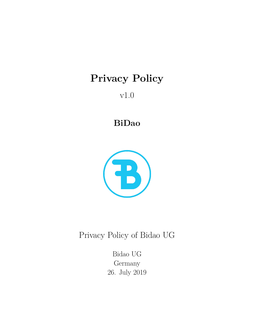# **Privacy Policy**

v1.0

**BiDao**



Privacy Policy of Bidao UG

Bidao UG Germany 26. July 2019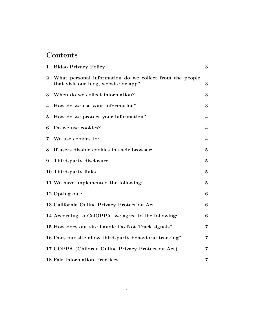# **Contents**

| $\mathbf{1}$            | <b>Bidao Privacy Policy</b>                                                                     | 3                       |
|-------------------------|-------------------------------------------------------------------------------------------------|-------------------------|
| $\overline{2}$          | What personal information do we collect from the people<br>that visit our blog, website or app? | 3                       |
| 3                       | When do we collect information?                                                                 | 3                       |
| 4                       | How do we use your information?                                                                 | 3                       |
| $\bf{5}$                | How do we protect your information?                                                             | $\overline{\mathbf{4}}$ |
| 6                       | Do we use cookies?                                                                              | $\overline{\mathbf{4}}$ |
| $\overline{\mathbf{7}}$ | We use cookies to:                                                                              | 4                       |
| 8                       | If users disable cookies in their browser:                                                      | $\bf{5}$                |
| 9                       | Third-party disclosure                                                                          | $\bf{5}$                |
|                         | 10 Third-party links                                                                            | $\bf{5}$                |
|                         | 11 We have implemented the following:                                                           | $\bf{5}$                |
|                         | 12 Opting out:                                                                                  | 6                       |
|                         | 13 California Online Privacy Protection Act                                                     | 6                       |
|                         | 14 According to CalOPPA, we agree to the following:                                             | 6                       |
|                         | 15 How does our site handle Do Not Track signals?                                               | $\overline{\mathbf{7}}$ |
|                         | 16 Does our site allow third-party behavioral tracking?                                         | 7                       |
|                         | 17 COPPA (Children Online Privacy Protection Act)                                               | 7                       |
|                         | <b>18 Fair Information Practices</b>                                                            | 7                       |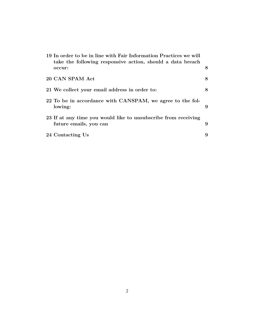| 19 In order to be in line with Fair Information Practices we will<br>take the following responsive action, should a data breach |   |
|---------------------------------------------------------------------------------------------------------------------------------|---|
| occur:                                                                                                                          | 8 |
| 20 CAN SPAM Act                                                                                                                 | 8 |
| 21 We collect your email address in order to:                                                                                   | 8 |
| 22 To be in accordance with CANSPAM, we agree to the fol-<br>lowing:                                                            | 9 |
| 23 If at any time you would like to unsubscribe from receiving<br>future emails, you can                                        | 9 |
| 24 Contacting Us                                                                                                                | 9 |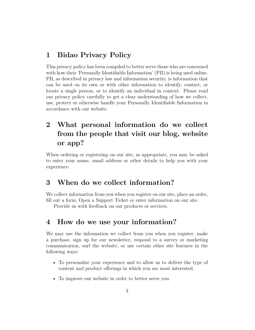#### **1 Bidao Privacy Policy**

This privacy policy has been compiled to better serve those who are concerned with how their 'Personally Identifiable Information' (PII) is being used online. PII, as described in privacy law and information security, is information that can be used on its own or with other information to identify, contact, or locate a single person, or to identify an individual in context. Please read our privacy policy carefully to get a clear understanding of how we collect, use, protect or otherwise handle your Personally Identifiable Information in accordance with our website.

# **2 What personal information do we collect from the people that visit our blog, website or app?**

When ordering or registering on our site, as appropriate, you may be asked to enter your name, email address or other details to help you with your experience.

## **3 When do we collect information?**

We collect information from you when you register on our site, place an order, fill out a form, Open a Support Ticket or enter information on our site.

Provide us with feedback on our products or services.

## **4 How do we use your information?**

We may use the information we collect from you when you register, make a purchase, sign up for our newsletter, respond to a survey or marketing communication, surf the website, or use certain other site features in the following ways:

- To personalize your experience and to allow us to deliver the type of content and product offerings in which you are most interested.
- To improve our website in order to better serve you.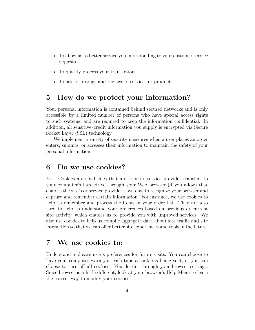- To allow us to better service you in responding to your customer service requests.
- To quickly process your transactions.
- To ask for ratings and reviews of services or products

#### **5 How do we protect your information?**

Your personal information is contained behind secured networks and is only accessible by a limited number of persons who have special access rights to such systems, and are required to keep the information confidential. In addition, all sensitive/credit information you supply is encrypted via Secure Socket Layer (SSL) technology.

We implement a variety of security measures when a user places an order enters, submits, or accesses their information to maintain the safety of your personal information.

#### **6 Do we use cookies?**

Yes. Cookies are small files that a site or its service provider transfers to your computer's hard drive through your Web browser (if you allow) that enables the site's or service provider's systems to recognize your browser and capture and remember certain information. For instance, we use cookies to help us remember and process the items in your order list. They are also used to help us understand your preferences based on previous or current site activity, which enables us to provide you with improved services. We also use cookies to help us compile aggregate data about site traffic and site interaction so that we can offer better site experiences and tools in the future.

#### **7 We use cookies to:**

Understand and save user's preferences for future visits. You can choose to have your computer warn you each time a cookie is being sent, or you can choose to turn off all cookies. You do this through your browser settings. Since browser is a little different, look at your browser's Help Menu to learn the correct way to modify your cookies.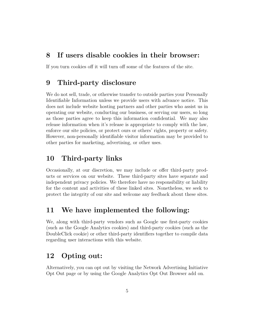#### **8 If users disable cookies in their browser:**

If you turn cookies off it will turn off some of the features of the site.

## **9 Third-party disclosure**

We do not sell, trade, or otherwise transfer to outside parties your Personally Identifiable Information unless we provide users with advance notice. This does not include website hosting partners and other parties who assist us in operating our website, conducting our business, or serving our users, so long as those parties agree to keep this information confidential. We may also release information when it's release is appropriate to comply with the law, enforce our site policies, or protect ours or others' rights, property or safety. However, non-personally identifiable visitor information may be provided to other parties for marketing, advertising, or other uses.

## **10 Third-party links**

Occasionally, at our discretion, we may include or offer third-party products or services on our website. These third-party sites have separate and independent privacy policies. We therefore have no responsibility or liability for the content and activities of these linked sites. Nonetheless, we seek to protect the integrity of our site and welcome any feedback about these sites.

## **11 We have implemented the following:**

We, along with third-party vendors such as Google use first-party cookies (such as the Google Analytics cookies) and third-party cookies (such as the DoubleClick cookie) or other third-party identifiers together to compile data regarding user interactions with this website.

## **12 Opting out:**

Alternatively, you can opt out by visiting the Network Advertising Initiative Opt Out page or by using the Google Analytics Opt Out Browser add on.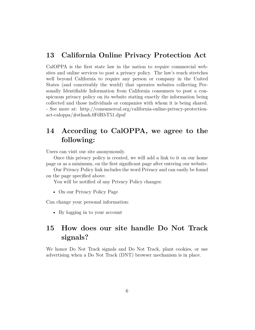#### **13 California Online Privacy Protection Act**

CalOPPA is the first state law in the nation to require commercial websites and online services to post a privacy policy. The law's reach stretches well beyond California to require any person or company in the United States (and conceivably the world) that operates websites collecting Personally Identifiable Information from California consumers to post a conspicuous privacy policy on its website stating exactly the information being collected and those individuals or companies with whom it is being shared. - See more at: http://consumercal.org/california-online-privacy-protectionact-caloppa/#sthash.0FdRbT51.dpuf

## **14 According to CalOPPA, we agree to the following:**

Users can visit our site anonymously.

Once this privacy policy is created, we will add a link to it on our home page or as a minimum, on the first significant page after entering our website.

Our Privacy Policy link includes the word Privacy and can easily be found on the page specified above.

You will be notified of any Privacy Policy changes:

• On our Privacy Policy Page

Can change your personal information:

• By logging in to your account

# **15 How does our site handle Do Not Track signals?**

We honor Do Not Track signals and Do Not Track, plant cookies, or use advertising when a Do Not Track (DNT) browser mechanism is in place.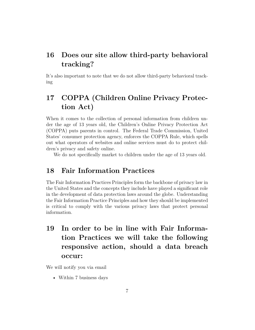# **16 Does our site allow third-party behavioral tracking?**

It's also important to note that we do not allow third-party behavioral tracking

# **17 COPPA (Children Online Privacy Protection Act)**

When it comes to the collection of personal information from children under the age of 13 years old, the Children's Online Privacy Protection Act (COPPA) puts parents in control. The Federal Trade Commission, United States' consumer protection agency, enforces the COPPA Rule, which spells out what operators of websites and online services must do to protect children's privacy and safety online.

We do not specifically market to children under the age of 13 years old.

## **18 Fair Information Practices**

The Fair Information Practices Principles form the backbone of privacy law in the United States and the concepts they include have played a significant role in the development of data protection laws around the globe. Understanding the Fair Information Practice Principles and how they should be implemented is critical to comply with the various privacy laws that protect personal information.

**19 In order to be in line with Fair Information Practices we will take the following responsive action, should a data breach occur:**

We will notify you via email

• Within 7 business days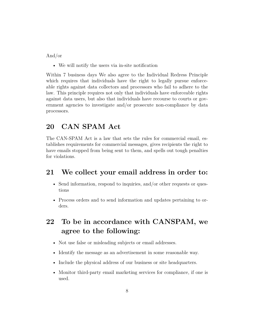And/or

• We will notify the users via in-site notification

Within 7 business days We also agree to the Individual Redress Principle which requires that individuals have the right to legally pursue enforceable rights against data collectors and processors who fail to adhere to the law. This principle requires not only that individuals have enforceable rights against data users, but also that individuals have recourse to courts or government agencies to investigate and/or prosecute non-compliance by data processors.

## **20 CAN SPAM Act**

The CAN-SPAM Act is a law that sets the rules for commercial email, establishes requirements for commercial messages, gives recipients the right to have emails stopped from being sent to them, and spells out tough penalties for violations.

#### **21 We collect your email address in order to:**

- Send information, respond to inquiries, and/or other requests or questions
- Process orders and to send information and updates pertaining to orders.

# **22 To be in accordance with CANSPAM, we agree to the following:**

- Not use false or misleading subjects or email addresses.
- Identify the message as an advertisement in some reasonable way.
- Include the physical address of our business or site headquarters.
- Monitor third-party email marketing services for compliance, if one is used.